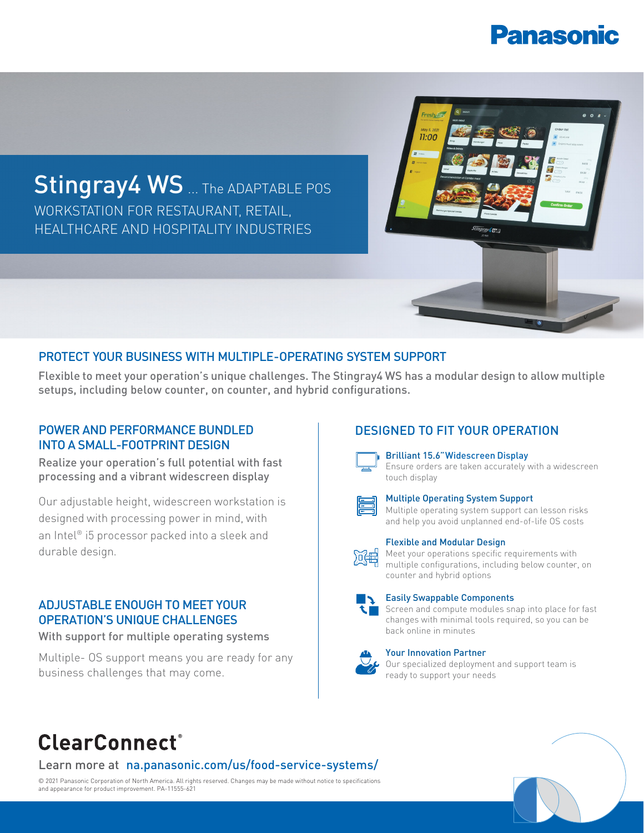# **Panasonic**



## PROTECT YOUR BUSINESS WITH MULTIPLE-OPERATING SYSTEM SUPPORT

Flexible to meet your operation's unique challenges. The Stingray4 WS has a modular design to allow multiple setups, including below counter, on counter, and hybrid configurations.

## POWER AND PERFORMANCE BUNDLED **DESIGNED TO FIT YOUR OPERATION** INTO A SMALL-FOOTPRINT DESIGN

Realize your operation's full potential with fast processing and a vibrant widescreen display

Our adjustable height, widescreen workstation is designed with processing power in mind, with an Intel® i5 processor packed into a sleek and durable design.

# ADJUSTABLE ENOUGH TO MEET YOUR OPERATION'S UNIQUE CHALLENGES

With support for multiple operating systems

Multiple- OS support means you are ready for any business challenges that may come.



Brilliant 15.6"Widescreen Display





### Multiple Operating System Support

Multiple operating system support can lesson risks and help you avoid unplanned end-of-life OS costs



### Flexible and Modular Design

Meet your operations specific requirements with multiple configurations, including below counter, on counter and hybrid options



Easily Swappable Components

Screen and compute modules snap into place for fast changes with minimal tools required, so you can be back online in minutes

### Your Innovation Partner

Our specialized deployment and support team is ready to support your needs

# **ClearConnect**®

# Learn more at na.panasonic.com/us/food-service-systems/

© 2021 Panasonic Corporation of North America. All rights reserved. Changes may be made without notice to specifications and appearance for product improvement. PA-11555-621